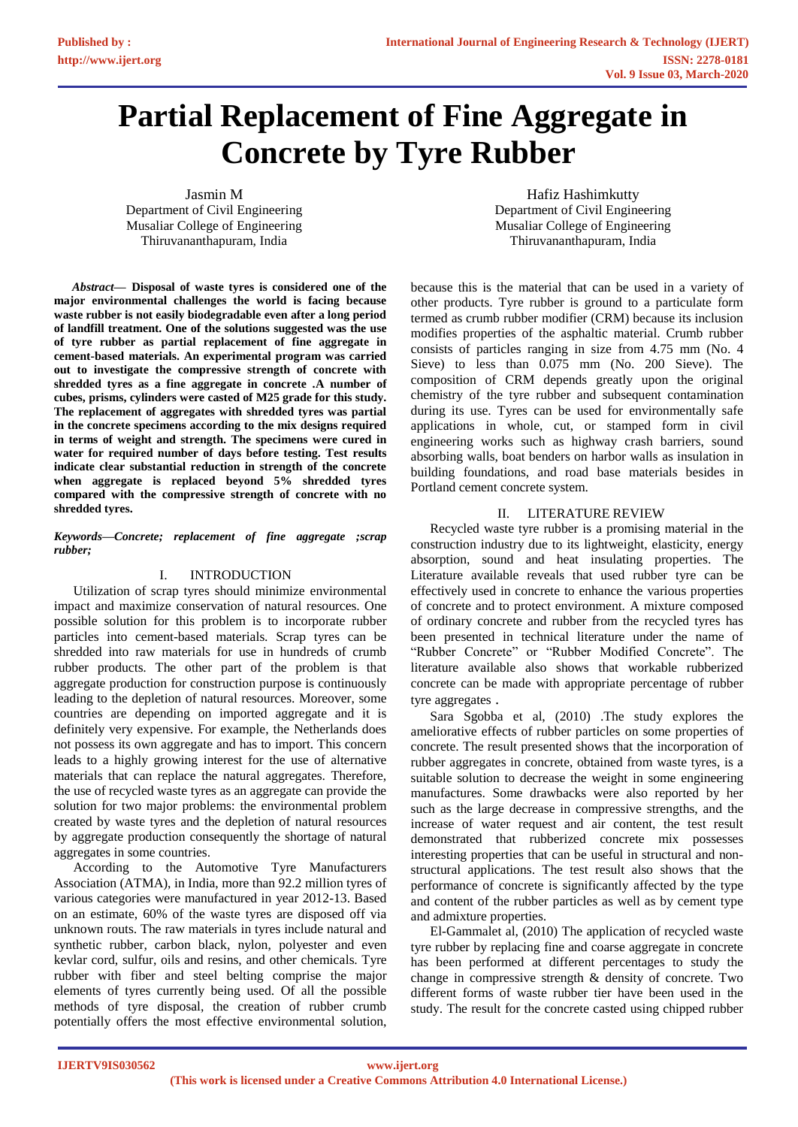# **Partial Replacement of Fine Aggregate in Concrete by Tyre Rubber**

Jasmin M Department of Civil Engineering Musaliar College of Engineering Thiruvananthapuram, India

Hafiz Hashimkutty Department of Civil Engineering Musaliar College of Engineering Thiruvananthapuram, India

*Abstract***— Disposal of waste tyres is considered one of the major environmental challenges the world is facing because waste rubber is not easily biodegradable even after a long period of landfill treatment. One of the solutions suggested was the use of tyre rubber as partial replacement of fine aggregate in cement-based materials. An experimental program was carried out to investigate the compressive strength of concrete with shredded tyres as a fine aggregate in concrete .A number of cubes, prisms, cylinders were casted of M25 grade for this study. The replacement of aggregates with shredded tyres was partial in the concrete specimens according to the mix designs required in terms of weight and strength. The specimens were cured in water for required number of days before testing. Test results indicate clear substantial reduction in strength of the concrete when aggregate is replaced beyond 5% shredded tyres compared with the compressive strength of concrete with no shredded tyres.** 

#### *Keywords—Concrete; replacement of fine aggregate ;scrap rubber;*

## I. INTRODUCTION

Utilization of scrap tyres should minimize environmental impact and maximize conservation of natural resources. One possible solution for this problem is to incorporate rubber particles into cement-based materials. Scrap tyres can be shredded into raw materials for use in hundreds of crumb rubber products. The other part of the problem is that aggregate production for construction purpose is continuously leading to the depletion of natural resources. Moreover, some countries are depending on imported aggregate and it is definitely very expensive. For example, the Netherlands does not possess its own aggregate and has to import. This concern leads to a highly growing interest for the use of alternative materials that can replace the natural aggregates. Therefore, the use of recycled waste tyres as an aggregate can provide the solution for two major problems: the environmental problem created by waste tyres and the depletion of natural resources by aggregate production consequently the shortage of natural aggregates in some countries.

According to the Automotive Tyre Manufacturers Association (ATMA), in India, more than 92.2 million tyres of various categories were manufactured in year 2012-13. Based on an estimate, 60% of the waste tyres are disposed off via unknown routs. The raw materials in tyres include natural and synthetic rubber, carbon black, nylon, polyester and even kevlar cord, sulfur, oils and resins, and other chemicals. Tyre rubber with fiber and steel belting comprise the major elements of tyres currently being used. Of all the possible methods of tyre disposal, the creation of rubber crumb potentially offers the most effective environmental solution,

because this is the material that can be used in a variety of other products. Tyre rubber is ground to a particulate form termed as crumb rubber modifier (CRM) because its inclusion modifies properties of the asphaltic material. Crumb rubber consists of particles ranging in size from 4.75 mm (No. 4 Sieve) to less than 0.075 mm (No. 200 Sieve). The composition of CRM depends greatly upon the original chemistry of the tyre rubber and subsequent contamination during its use. Tyres can be used for environmentally safe applications in whole, cut, or stamped form in civil engineering works such as highway crash barriers, sound absorbing walls, boat benders on harbor walls as insulation in building foundations, and road base materials besides in Portland cement concrete system.

## II. LITERATURE REVIEW

Recycled waste tyre rubber is a promising material in the construction industry due to its lightweight, elasticity, energy absorption, sound and heat insulating properties. The Literature available reveals that used rubber tyre can be effectively used in concrete to enhance the various properties of concrete and to protect environment. A mixture composed of ordinary concrete and rubber from the recycled tyres has been presented in technical literature under the name of "Rubber Concrete" or "Rubber Modified Concrete". The literature available also shows that workable rubberized concrete can be made with appropriate percentage of rubber tyre aggregates .

Sara Sgobba et al, (2010) .The study explores the ameliorative effects of rubber particles on some properties of concrete. The result presented shows that the incorporation of rubber aggregates in concrete, obtained from waste tyres, is a suitable solution to decrease the weight in some engineering manufactures. Some drawbacks were also reported by her such as the large decrease in compressive strengths, and the increase of water request and air content, the test result demonstrated that rubberized concrete mix possesses interesting properties that can be useful in structural and nonstructural applications. The test result also shows that the performance of concrete is significantly affected by the type and content of the rubber particles as well as by cement type and admixture properties.

El-Gammalet al, (2010) The application of recycled waste tyre rubber by replacing fine and coarse aggregate in concrete has been performed at different percentages to study the change in compressive strength & density of concrete. Two different forms of waste rubber tier have been used in the study. The result for the concrete casted using chipped rubber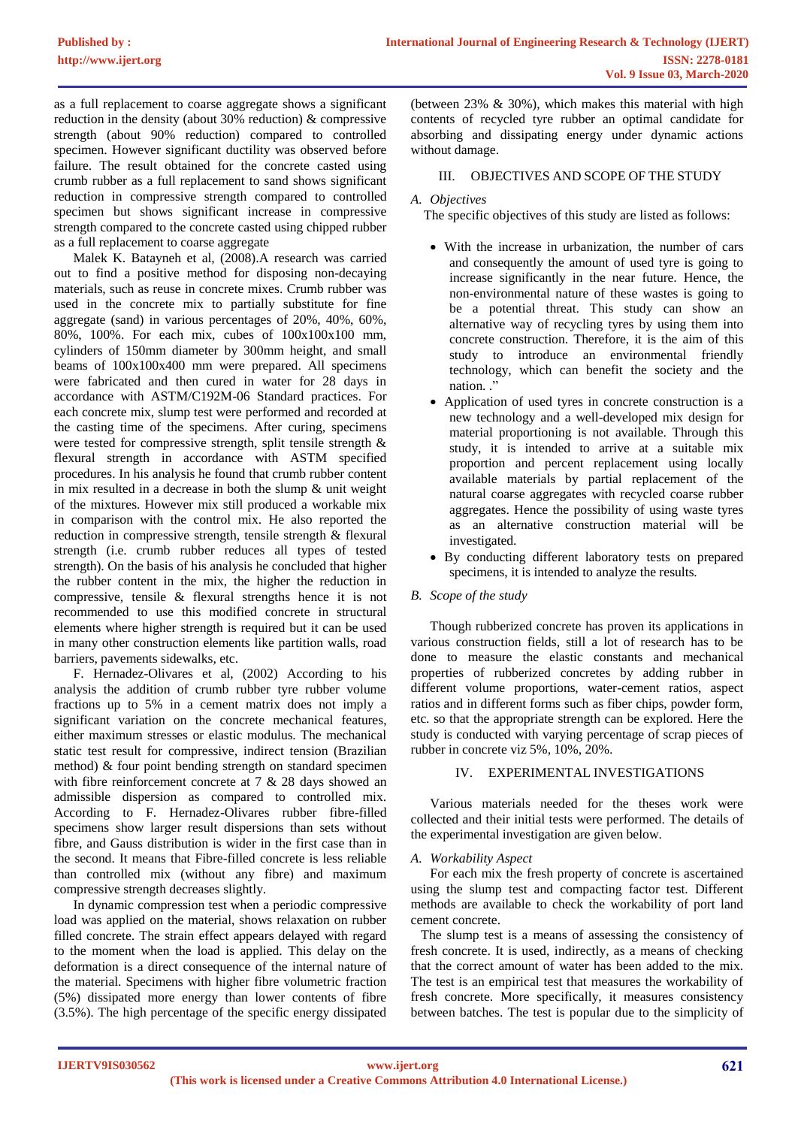as a full replacement to coarse aggregate shows a significant reduction in the density (about 30% reduction) & compressive strength (about 90% reduction) compared to controlled specimen. However significant ductility was observed before failure. The result obtained for the concrete casted using crumb rubber as a full replacement to sand shows significant reduction in compressive strength compared to controlled specimen but shows significant increase in compressive strength compared to the concrete casted using chipped rubber as a full replacement to coarse aggregate

Malek K. Batayneh et al, (2008).A research was carried out to find a positive method for disposing non-decaying materials, such as reuse in concrete mixes. Crumb rubber was used in the concrete mix to partially substitute for fine aggregate (sand) in various percentages of 20%, 40%, 60%, 80%, 100%. For each mix, cubes of 100x100x100 mm, cylinders of 150mm diameter by 300mm height, and small beams of 100x100x400 mm were prepared. All specimens were fabricated and then cured in water for 28 days in accordance with ASTM/C192M-06 Standard practices. For each concrete mix, slump test were performed and recorded at the casting time of the specimens. After curing, specimens were tested for compressive strength, split tensile strength & flexural strength in accordance with ASTM specified procedures. In his analysis he found that crumb rubber content in mix resulted in a decrease in both the slump  $\&$  unit weight of the mixtures. However mix still produced a workable mix in comparison with the control mix. He also reported the reduction in compressive strength, tensile strength & flexural strength (i.e. crumb rubber reduces all types of tested strength). On the basis of his analysis he concluded that higher the rubber content in the mix, the higher the reduction in compressive, tensile & flexural strengths hence it is not recommended to use this modified concrete in structural elements where higher strength is required but it can be used in many other construction elements like partition walls, road barriers, pavements sidewalks, etc.

F. Hernadez-Olivares et al, (2002) According to his analysis the addition of crumb rubber tyre rubber volume fractions up to 5% in a cement matrix does not imply a significant variation on the concrete mechanical features, either maximum stresses or elastic modulus. The mechanical static test result for compressive, indirect tension (Brazilian method) & four point bending strength on standard specimen with fibre reinforcement concrete at 7 & 28 days showed an admissible dispersion as compared to controlled mix. According to F. Hernadez-Olivares rubber fibre-filled specimens show larger result dispersions than sets without fibre, and Gauss distribution is wider in the first case than in the second. It means that Fibre-filled concrete is less reliable than controlled mix (without any fibre) and maximum compressive strength decreases slightly.

In dynamic compression test when a periodic compressive load was applied on the material, shows relaxation on rubber filled concrete. The strain effect appears delayed with regard to the moment when the load is applied. This delay on the deformation is a direct consequence of the internal nature of the material. Specimens with higher fibre volumetric fraction (5%) dissipated more energy than lower contents of fibre (3.5%). The high percentage of the specific energy dissipated

(between 23% & 30%), which makes this material with high contents of recycled tyre rubber an optimal candidate for absorbing and dissipating energy under dynamic actions without damage.

## III. OBJECTIVES AND SCOPE OF THE STUDY

## *A. Objectives*

The specific objectives of this study are listed as follows:

- With the increase in urbanization, the number of cars and consequently the amount of used tyre is going to increase significantly in the near future. Hence, the non-environmental nature of these wastes is going to be a potential threat. This study can show an alternative way of recycling tyres by using them into concrete construction. Therefore, it is the aim of this study to introduce an environmental friendly technology, which can benefit the society and the nation."
- Application of used tyres in concrete construction is a new technology and a well-developed mix design for material proportioning is not available. Through this study, it is intended to arrive at a suitable mix proportion and percent replacement using locally available materials by partial replacement of the natural coarse aggregates with recycled coarse rubber aggregates. Hence the possibility of using waste tyres as an alternative construction material will be investigated.
- By conducting different laboratory tests on prepared specimens, it is intended to analyze the results.

## *B. Scope of the study*

Though rubberized concrete has proven its applications in various construction fields, still a lot of research has to be done to measure the elastic constants and mechanical properties of rubberized concretes by adding rubber in different volume proportions, water-cement ratios, aspect ratios and in different forms such as fiber chips, powder form, etc. so that the appropriate strength can be explored. Here the study is conducted with varying percentage of scrap pieces of rubber in concrete viz 5%, 10%, 20%.

## IV. EXPERIMENTAL INVESTIGATIONS

Various materials needed for the theses work were collected and their initial tests were performed. The details of the experimental investigation are given below.

## *A. Workability Aspect*

For each mix the fresh property of concrete is ascertained using the slump test and compacting factor test. Different methods are available to check the workability of port land cement concrete.

 The slump test is a means of assessing the consistency of fresh concrete. It is used, indirectly, as a means of checking that the correct amount of water has been added to the mix. The test is an empirical test that measures the workability of fresh concrete. More specifically, it measures consistency between batches. The test is popular due to the simplicity of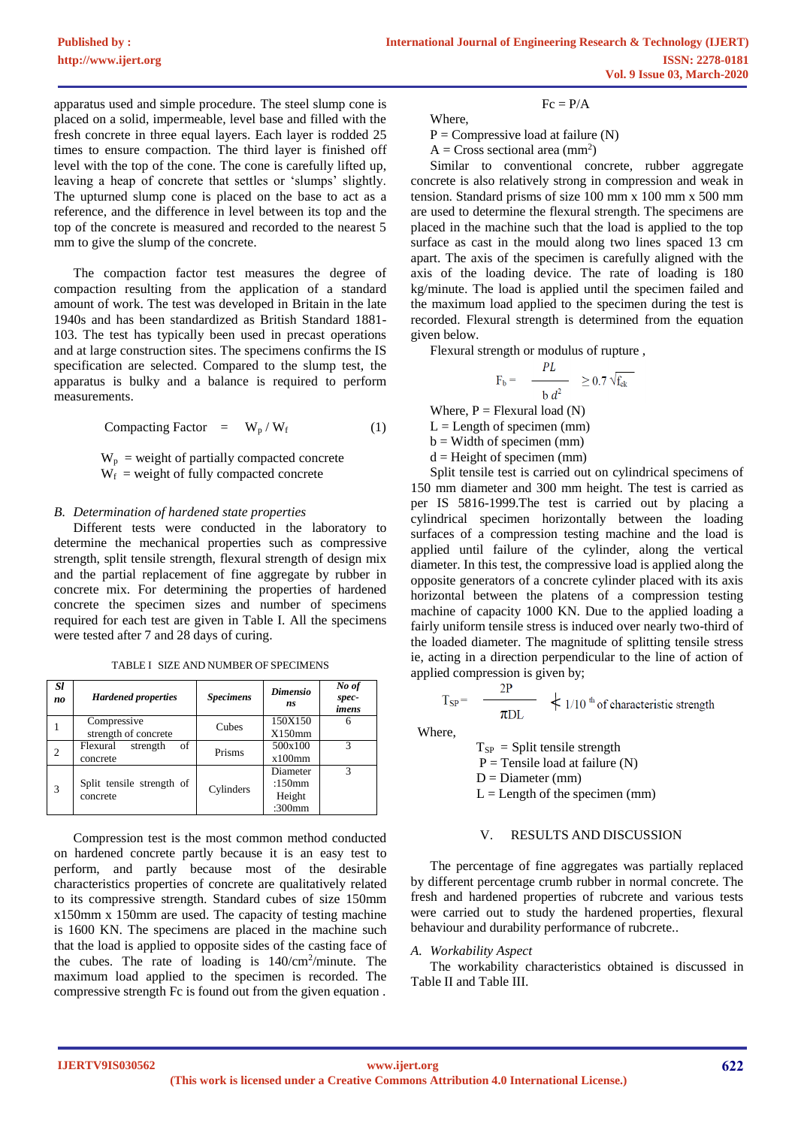$Fc = P/A$ 

apparatus used and simple procedure. The steel slump cone is placed on a solid, impermeable, level base and filled with the fresh concrete in three equal layers. Each layer is rodded 25 times to ensure compaction. The third layer is finished off level with the top of the cone. The cone is carefully lifted up, leaving a heap of concrete that settles or 'slumps' slightly. The upturned slump cone is placed on the base to act as a reference, and the difference in level between its top and the top of the concrete is measured and recorded to the nearest 5 mm to give the slump of the concrete.

The compaction factor test measures the degree of compaction resulting from the application of a standard amount of work. The test was developed in Britain in the late 1940s and has been standardized as British Standard 1881- 103. The test has typically been used in precast operations and at large construction sites. The specimens confirms the IS specification are selected. Compared to the slump test, the apparatus is bulky and a balance is required to perform measurements.

Compacting Factor =  $W_p / W_f$  (1)

 $W_p$  = weight of partially compacted concrete  $W_f$  = weight of fully compacted concrete

#### *B. Determination of hardened state properties*

Different tests were conducted in the laboratory to determine the mechanical properties such as compressive strength, split tensile strength, flexural strength of design mix and the partial replacement of fine aggregate by rubber in concrete mix. For determining the properties of hardened concrete the specimen sizes and number of specimens required for each test are given in Table I. All the specimens were tested after 7 and 28 days of curing.

| Sl<br>no | <b>Hardened properties</b>            | <b>Specimens</b> | <b>Dimensio</b><br>ns | No of<br>spec-<br>imens |
|----------|---------------------------------------|------------------|-----------------------|-------------------------|
|          | Compressive                           | Cubes            | 150X150               | 6                       |
|          | strength of concrete                  |                  | X150mm                |                         |
| 2        | Flexural<br>οf<br>strength            | Prisms           | 500x100               | 3                       |
|          | concrete                              |                  | $x100$ mm             |                         |
|          |                                       |                  | Diameter              | 3                       |
| 3        | Split tensile strength of<br>concrete | Cylinders        | :150 $mm$             |                         |
|          |                                       |                  | Height                |                         |
|          |                                       |                  | $:300$ mm             |                         |

TABLE I SIZE AND NUMBER OF SPECIMENS

Compression test is the most common method conducted on hardened concrete partly because it is an easy test to perform, and partly because most of the desirable characteristics properties of concrete are qualitatively related to its compressive strength. Standard cubes of size 150mm x150mm x 150mm are used. The capacity of testing machine is 1600 KN. The specimens are placed in the machine such that the load is applied to opposite sides of the casting face of the cubes. The rate of loading is  $140/cm<sup>2</sup>/minute$ . The maximum load applied to the specimen is recorded. The compressive strength Fc is found out from the given equation .

Where,

 $P =$  Compressive load at failure  $(N)$ 

 $A = Cross$  sectional area (mm<sup>2</sup>)

Similar to conventional concrete, rubber aggregate concrete is also relatively strong in compression and weak in tension. Standard prisms of size 100 mm x 100 mm x 500 mm are used to determine the flexural strength. The specimens are placed in the machine such that the load is applied to the top surface as cast in the mould along two lines spaced 13 cm apart. The axis of the specimen is carefully aligned with the axis of the loading device. The rate of loading is 180 kg/minute. The load is applied until the specimen failed and the maximum load applied to the specimen during the test is recorded. Flexural strength is determined from the equation given below.

Flexural strength or modulus of rupture ,

$$
F_b = \frac{PL}{h d^2} \ge 0.7 \sqrt{f_{ck}}
$$

Where,  $P = F$ lexural load (N)

 $L =$  Length of specimen (mm)

 $b =$  Width of specimen (mm)

 $d =$  Height of specimen (mm)

Split tensile test is carried out on cylindrical specimens of 150 mm diameter and 300 mm height. The test is carried as per IS 5816-1999.The test is carried out by placing a cylindrical specimen horizontally between the loading surfaces of a compression testing machine and the load is applied until failure of the cylinder, along the vertical diameter. In this test, the compressive load is applied along the opposite generators of a concrete cylinder placed with its axis horizontal between the platens of a compression testing machine of capacity 1000 KN. Due to the applied loading a fairly uniform tensile stress is induced over nearly two-third of the loaded diameter. The magnitude of splitting tensile stress ie, acting in a direction perpendicular to the line of action of applied compression is given by;

$$
T_{SP} = \frac{2P}{\pi DL}
$$
  $\star$  1/10<sup>th</sup> of characteristic strength

Where,

 $T_{SP}$  = Split tensile strength  $P =$  Tensile load at failure  $(N)$  $D =$ Diameter (mm)  $L =$  Length of the specimen (mm)

#### V. RESULTS AND DISCUSSION

The percentage of fine aggregates was partially replaced by different percentage crumb rubber in normal concrete. The fresh and hardened properties of rubcrete and various tests were carried out to study the hardened properties, flexural behaviour and durability performance of rubcrete..

## *A. Workability Aspect*

The workability characteristics obtained is discussed in Table II and Table III.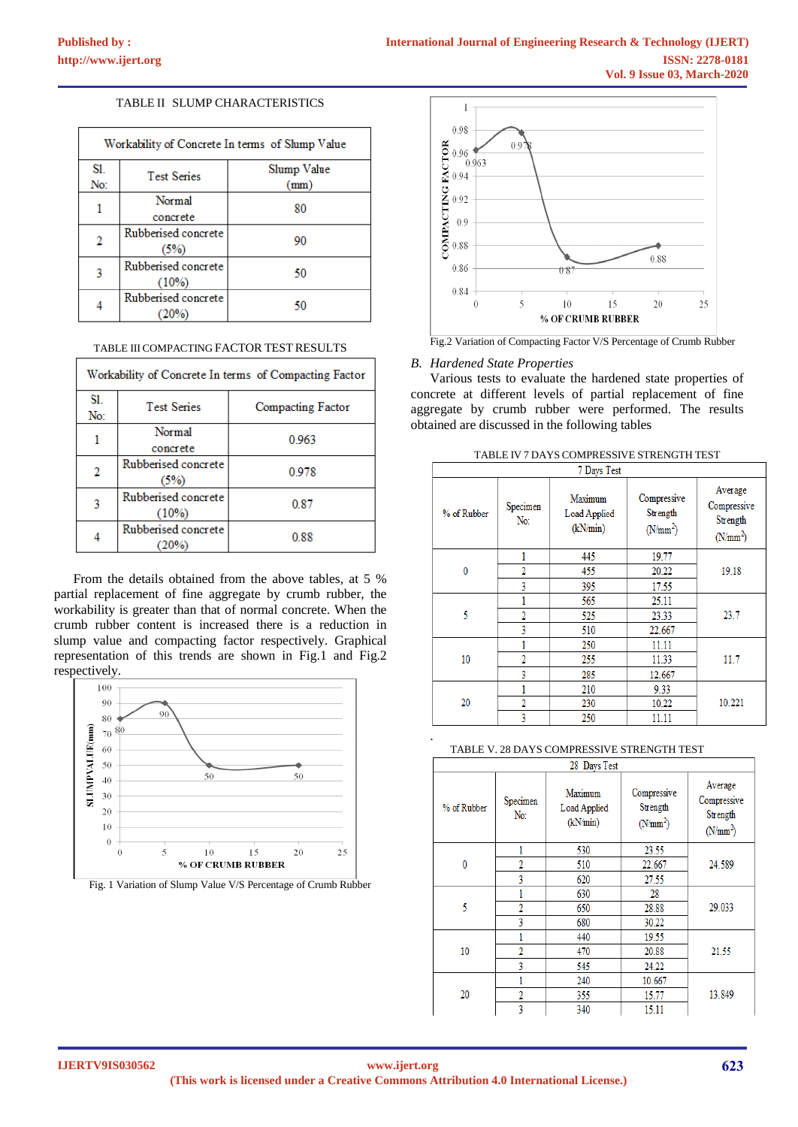## TABLE II SLUMP CHARACTERISTICS

| Workability of Concrete In terms of Slump Value |                                 |                     |  |
|-------------------------------------------------|---------------------------------|---------------------|--|
| SI.<br>No:                                      | <b>Test Series</b>              | Slump Value<br>(mm) |  |
|                                                 | Normal<br>concrete              | 80                  |  |
| 2                                               | Rubberised concrete<br>(5%)     | 90                  |  |
| 3                                               | Rubberised concrete<br>$(10\%)$ | 50                  |  |
|                                                 | Rubberised concrete<br>(20%)    | 50                  |  |

#### TABLE III COMPACTING FACTOR TEST RESULTS

| Workability of Concrete In terms of Compacting Factor |                                 |                          |  |
|-------------------------------------------------------|---------------------------------|--------------------------|--|
| S1.<br>No:                                            | <b>Test Series</b>              | <b>Compacting Factor</b> |  |
|                                                       | Normal<br>concrete              | 0.963                    |  |
| 2                                                     | Rubberised concrete<br>(5%)     | 0.978                    |  |
| 3                                                     | Rubberised concrete<br>$(10\%)$ | 0.87                     |  |
|                                                       | Rubberised concrete             | 0.88                     |  |

From the details obtained from the above tables, at 5 % partial replacement of fine aggregate by crumb rubber, the workability is greater than that of normal concrete. When the crumb rubber content is increased there is a reduction in slump value and compacting factor respectively. Graphical representation of this trends are shown in Fig.1 and Fig.2 respectively.



Fig. 1 Variation of Slump Value V/S Percentage of Crumb Rubber



#### Fig.2 Variation of Compacting Factor V/S Percentage of Crumb Rubber

#### *B. Hardened State Properties*

Various tests to evaluate the hardened state properties of concrete at different levels of partial replacement of fine aggregate by crumb rubber were performed. The results obtained are discussed in the following tables

| % of Rubber | Specimen<br>No: | Maximum<br>Load Applied<br>(kN/min) | Compressive<br>Strength<br>(N/mm <sup>2</sup> ) | Average<br>Compressive<br>Strength<br>$(N/mm^2)$ |
|-------------|-----------------|-------------------------------------|-------------------------------------------------|--------------------------------------------------|
|             |                 | 445                                 | 19.77                                           | 19.18                                            |
| 0           | 2               | 455                                 | 20.22                                           |                                                  |
|             | 3               | 395                                 | 17.55                                           |                                                  |
|             |                 | 565                                 | 25.11                                           | 23.7                                             |
| 5           | $\overline{2}$  | 525                                 | 23.33                                           |                                                  |
|             | 3               | 510                                 | 22.667                                          |                                                  |
|             |                 | 250                                 | 11.11                                           | 11.7                                             |
| 10          | $\overline{2}$  | 255                                 | 11.33                                           |                                                  |
|             | 3               | 285                                 | 12.667                                          |                                                  |
|             |                 | 210                                 | 9.33                                            | 10.221                                           |
| 20          | $\overline{2}$  | 230                                 | 10.22                                           |                                                  |
|             | 3               | 250                                 | 11.11                                           |                                                  |

#### TABLE IV 7 DAYS COMPRESSIVE STRENGTH TEST

TABLE V. 28 DAYS COMPRESSIVE STRENGTH TEST

| 28 Days Test |                 |                                     |                                       |                                                            |
|--------------|-----------------|-------------------------------------|---------------------------------------|------------------------------------------------------------|
| % of Rubber  | Specimen<br>No: | Maximum<br>Load Applied<br>(kN/min) | Compressive<br>Strength<br>$(N/mm^2)$ | Average<br>Compressive<br>Strength<br>(N/mm <sup>2</sup> ) |
|              |                 | 530                                 | 23.55                                 |                                                            |
| $\mathbf{0}$ | $\overline{2}$  | 510                                 | 22.667                                | 24.589                                                     |
|              | 3               | 620                                 | 27.55                                 |                                                            |
|              |                 | 630                                 | 28                                    |                                                            |
| 5            | $\overline{2}$  | 650                                 | 28.88                                 | 29.033                                                     |
|              | 3               | 680                                 | 30.22                                 |                                                            |
|              |                 | 440                                 | 19.55                                 |                                                            |
| 10           | 2               | 470                                 | 20.88                                 | 21.55                                                      |
|              | 3               | 545                                 | 24.22                                 |                                                            |
|              |                 | 240                                 | 10.667                                |                                                            |
| 20           | $\overline{2}$  | 355                                 | 15.77                                 | 13.849                                                     |
|              | 3               | 340                                 | 15.11                                 |                                                            |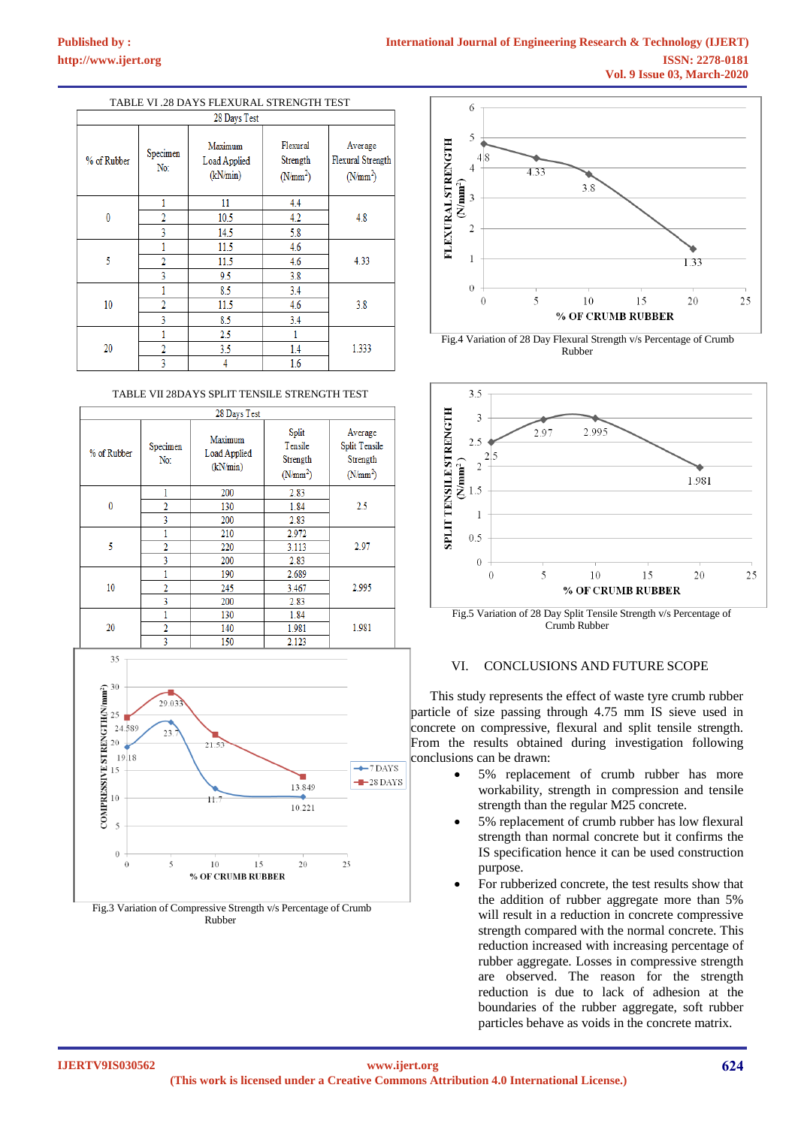# **Published by :**

| TABLE VI .28 DAYS FLEXURAL STRENGTH TEST |                 |                                     |                                              |                                                   |
|------------------------------------------|-----------------|-------------------------------------|----------------------------------------------|---------------------------------------------------|
| 28 Days Test                             |                 |                                     |                                              |                                                   |
| % of Rubber                              | Specimen<br>No: | Maximum<br>Load Applied<br>(kN/min) | Flexural<br>Strength<br>(N/mm <sup>2</sup> ) | Average<br><b>Flexural Strength</b><br>$(N/mm^2)$ |
|                                          | 1               | 11                                  | 4.4                                          |                                                   |
| 0                                        | 2               | 10.5                                | 4.2                                          | 4.8                                               |
|                                          | 3               | 14.5                                | 5.8                                          |                                                   |
|                                          |                 | 11.5                                | 4.6                                          |                                                   |
| 5                                        | 2               | 11.5                                | 4.6                                          | 4.33                                              |
|                                          | 3               | 9.5                                 | 3.8                                          |                                                   |
|                                          |                 | 8.5                                 | 3.4                                          |                                                   |
| 10                                       | $\overline{2}$  | 11.5                                | 4.6                                          | 3.8                                               |
|                                          | 3               | 8.5                                 | 3.4                                          |                                                   |
|                                          | 1               | 2.5                                 |                                              |                                                   |
| 20                                       | 2               | 3.5                                 | 1.4                                          | 1.333                                             |
|                                          | 3               |                                     | 1.6                                          |                                                   |

#### TABLE VII 28DAYS SPLIT TENSILE STRENGTH TEST









 Fig.4 Variation of 28 Day Flexural Strength v/s Percentage of Crumb Rubber



Crumb Rubber

## VI. CONCLUSIONS AND FUTURE SCOPE

This study represents the effect of waste tyre crumb rubber particle of size passing through 4.75 mm IS sieve used in concrete on compressive, flexural and split tensile strength. From the results obtained during investigation following conclusions can be drawn:

- 5% replacement of crumb rubber has more workability, strength in compression and tensile strength than the regular M25 concrete.
- 5% replacement of crumb rubber has low flexural strength than normal concrete but it confirms the IS specification hence it can be used construction purpose.
- For rubberized concrete, the test results show that the addition of rubber aggregate more than 5% will result in a reduction in concrete compressive strength compared with the normal concrete. This reduction increased with increasing percentage of rubber aggregate. Losses in compressive strength are observed. The reason for the strength reduction is due to lack of adhesion at the boundaries of the rubber aggregate, soft rubber particles behave as voids in the concrete matrix.